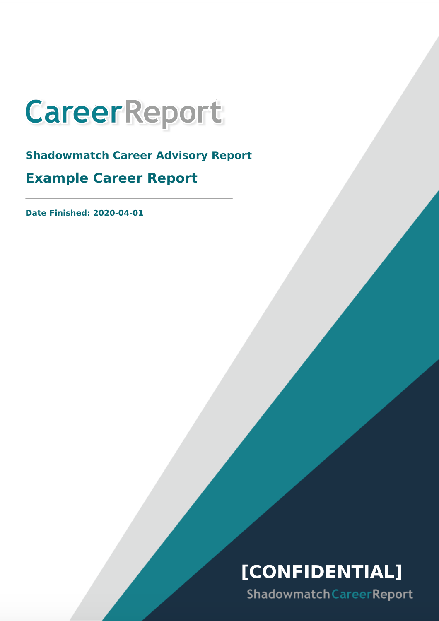

**Shadowmatch Career Advisory Report Example Career Report**

**Date Finished: 2020-04-01**

# **[CONFIDENTIAL]**

Shadowmatch Career Report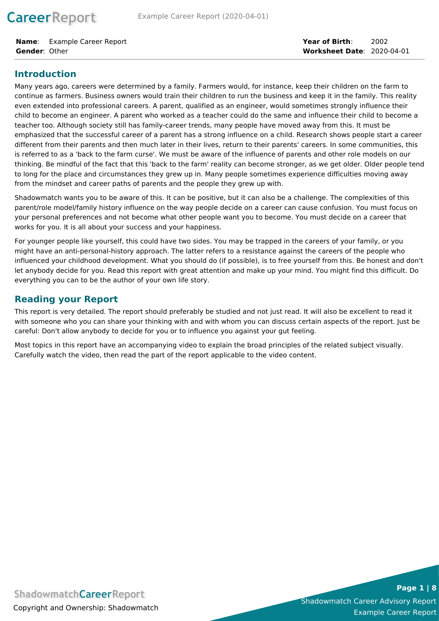**CareerReport** 

**Name**: Example Career Report **Gender**: Other

### **Introduction**

Many years ago, careers were determined by a family. Farmers would, for instance, keep their children on the farm to continue as farmers. Business owners would train their children to run the business and keep it in the family. This reality even extended into professional careers. A parent, qualified as an engineer, would sometimes strongly influence their child to become an engineer. A parent who worked as a teacher could do the same and influence their child to become a teacher too. Although society still has family-career trends, many people have moved away from this. It must be emphasized that the successful career of a parent has a strong influence on a child. Research shows people start a career different from their parents and then much later in their lives, return to their parents' careers. In some communities, this is referred to as a 'back to the farm curse'. We must be aware of the influence of parents and other role models on our thinking. Be mindful of the fact that this 'back to the farm' reality can become stronger, as we get older. Older people tend to long for the place and circumstances they grew up in. Many people sometimes experience difficulties moving away from the mindset and career paths of parents and the people they grew up with.

Shadowmatch wants you to be aware of this. It can be positive, but it can also be a challenge. The complexities of this parent/role model/family history influence on the way people decide on a career can cause confusion. You must focus on your personal preferences and not become what other people want you to become. You must decide on a career that works for you. It is all about your success and your happiness.

For younger people like yourself, this could have two sides. You may be trapped in the careers of your family, or you might have an anti-personal-history approach. The latter refers to a resistance against the careers of the people who influenced your childhood development. What you should do (if possible), is to free yourself from this. Be honest and don't let anybody decide for you. Read this report with great attention and make up your mind. You might find this difficult. Do everything you can to be the author of your own life story.

### **Reading your Report**

This report is very detailed. The report should preferably be studied and not just read. It will also be excellent to read it with someone who you can share your thinking with and with whom you can discuss certain aspects of the report. Just be careful: Don't allow anybody to decide for you or to influence you against your gut feeling.

Most topics in this report have an accompanying video to explain the broad principles of the related subject visually. Carefully watch the video, then read the part of the report applicable to the video content.

Shadowmatch Career Advisory Report Example Career Report

**Page 1 | 8**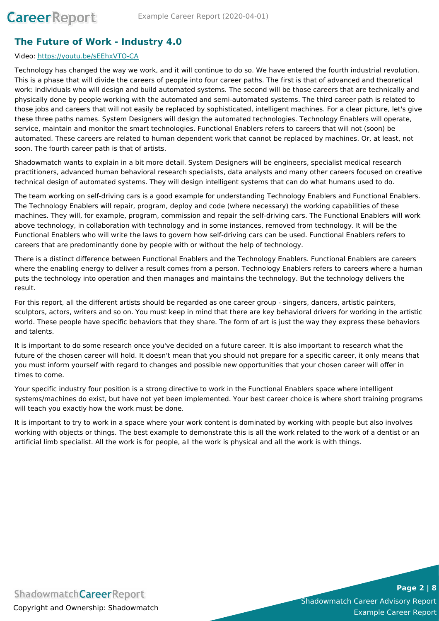## **The Future of Work - Industry 4.0**

#### Video: <https://youtu.be/sEEhxVTO-CA>

Technology has changed the way we work, and it will continue to do so. We have entered the fourth industrial revolution. This is a phase that will divide the careers of people into four career paths. The first is that of advanced and theoretical work: individuals who will design and build automated systems. The second will be those careers that are technically and physically done by people working with the automated and semi-automated systems. The third career path is related to those jobs and careers that will not easily be replaced by sophisticated, intelligent machines. For a clear picture, let's give these three paths names. System Designers will design the automated technologies. Technology Enablers will operate, service, maintain and monitor the smart technologies. Functional Enablers refers to careers that will not (soon) be automated. These careers are related to human dependent work that cannot be replaced by machines. Or, at least, not soon. The fourth career path is that of artists.

Shadowmatch wants to explain in a bit more detail. System Designers will be engineers, specialist medical research practitioners, advanced human behavioral research specialists, data analysts and many other careers focused on creative technical design of automated systems. They will design intelligent systems that can do what humans used to do.

The team working on self-driving cars is a good example for understanding Technology Enablers and Functional Enablers. The Technology Enablers will repair, program, deploy and code (where necessary) the working capabilities of these machines. They will, for example, program, commission and repair the self-driving cars. The Functional Enablers will work above technology, in collaboration with technology and in some instances, removed from technology. It will be the Functional Enablers who will write the laws to govern how self-driving cars can be used. Functional Enablers refers to careers that are predominantly done by people with or without the help of technology.

There is a distinct difference between Functional Enablers and the Technology Enablers. Functional Enablers are careers where the enabling energy to deliver a result comes from a person. Technology Enablers refers to careers where a human puts the technology into operation and then manages and maintains the technology. But the technology delivers the result.

For this report, all the different artists should be regarded as one career group - singers, dancers, artistic painters, sculptors, actors, writers and so on. You must keep in mind that there are key behavioral drivers for working in the artistic world. These people have specific behaviors that they share. The form of art is just the way they express these behaviors and talents.

It is important to do some research once you've decided on a future career. It is also important to research what the future of the chosen career will hold. It doesn't mean that you should not prepare for a specific career, it only means that you must inform yourself with regard to changes and possible new opportunities that your chosen career will offer in times to come.

Your specific industry four position is a strong directive to work in the Functional Enablers space where intelligent systems/machines do exist, but have not yet been implemented. Your best career choice is where short training programs will teach you exactly how the work must be done.

It is important to try to work in a space where your work content is dominated by working with people but also involves working with objects or things. The best example to demonstrate this is all the work related to the work of a dentist or an artificial limb specialist. All the work is for people, all the work is physical and all the work is with things.

**ShadowmatchCareerReport** Copyright and Ownership: Shadowmatch

Shadowmatch Career Advisory Report Example Career Report

**Page 2 | 8**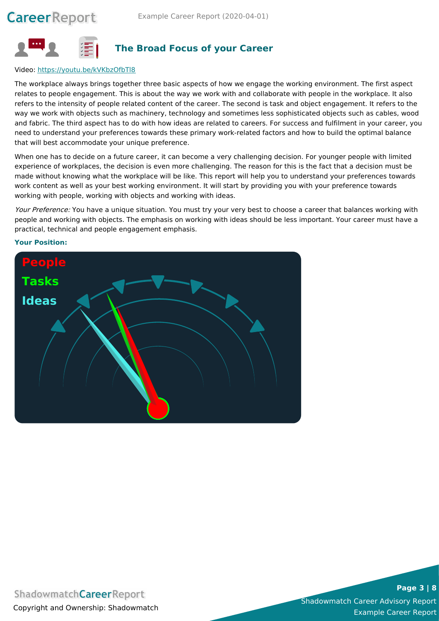

### **The Broad Focus of your Career**

#### Video: <https://youtu.be/kVKbzOfbTl8>

The workplace always brings together three basic aspects of how we engage the working environment. The first aspect relates to people engagement. This is about the way we work with and collaborate with people in the workplace. It also refers to the intensity of people related content of the career. The second is task and object engagement. It refers to the way we work with objects such as machinery, technology and sometimes less sophisticated objects such as cables, wood and fabric. The third aspect has to do with how ideas are related to careers. For success and fulfilment in your career, you need to understand your preferences towards these primary work-related factors and how to build the optimal balance that will best accommodate your unique preference.

When one has to decide on a future career, it can become a very challenging decision. For younger people with limited experience of workplaces, the decision is even more challenging. The reason for this is the fact that a decision must be made without knowing what the workplace will be like. This report will help you to understand your preferences towards work content as well as your best working environment. It will start by providing you with your preference towards working with people, working with objects and working with ideas.

Your Preference: You have a unique situation. You must try your very best to choose a career that balances working with people and working with objects. The emphasis on working with ideas should be less important. Your career must have a practical, technical and people engagement emphasis.



#### **Your Position:**

**ShadowmatchCareerReport** Copyright and Ownership: Shadowmatch

Shadowmatch Career Advisory Report Example Career Report

#### **Page 3 | 8**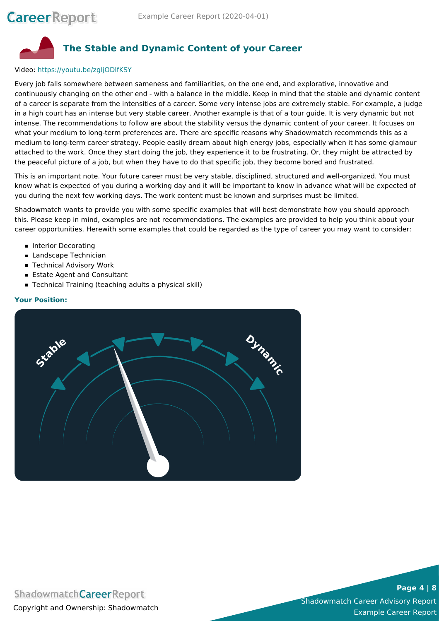

#### Video: <https://youtu.be/zgIjODlfKSY>

Every job falls somewhere between sameness and familiarities, on the one end, and explorative, innovative and continuously changing on the other end - with a balance in the middle. Keep in mind that the stable and dynamic content of a career is separate from the intensities of a career. Some very intense jobs are extremely stable. For example, a judge in a high court has an intense but very stable career. Another example is that of a tour guide. It is very dynamic but not intense. The recommendations to follow are about the stability versus the dynamic content of your career. It focuses on what your medium to long-term preferences are. There are specific reasons why Shadowmatch recommends this as a medium to long-term career strategy. People easily dream about high energy jobs, especially when it has some glamour attached to the work. Once they start doing the job, they experience it to be frustrating. Or, they might be attracted by the peaceful picture of a job, but when they have to do that specific job, they become bored and frustrated.

This is an important note. Your future career must be very stable, disciplined, structured and well-organized. You must know what is expected of you during a working day and it will be important to know in advance what will be expected of you during the next few working days. The work content must be known and surprises must be limited.

Shadowmatch wants to provide you with some specific examples that will best demonstrate how you should approach this. Please keep in mind, examples are not recommendations. The examples are provided to help you think about your career opportunities. Herewith some examples that could be regarded as the type of career you may want to consider:

- **Interior Decorating**
- **Landscape Technician**
- Technical Advisory Work
- **Estate Agent and Consultant**
- Technical Training (teaching adults a physical skill)

#### **Your Position:**



### **ShadowmatchCareerReport** Copyright and Ownership: Shadowmatch

**Page 4 | 8**

Shadowmatch Career Advisory Report Example Career Report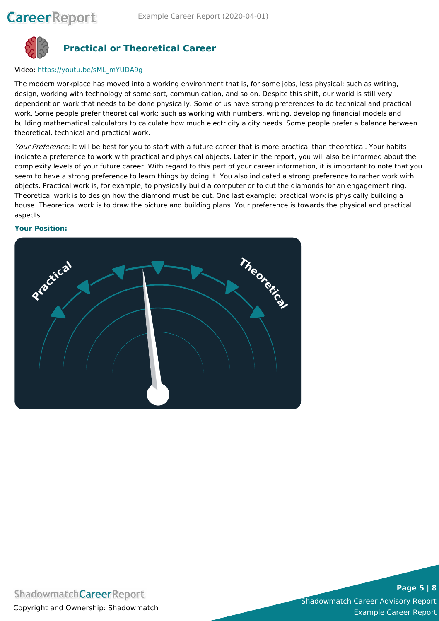

### **Practical or Theoretical Career**

#### Video: [https://youtu.be/sML\\_mYUDA9g](https://youtu.be/sML_mYUDA9g)

The modern workplace has moved into a working environment that is, for some jobs, less physical: such as writing, design, working with technology of some sort, communication, and so on. Despite this shift, our world is still very dependent on work that needs to be done physically. Some of us have strong preferences to do technical and practical work. Some people prefer theoretical work: such as working with numbers, writing, developing financial models and building mathematical calculators to calculate how much electricity a city needs. Some people prefer a balance between theoretical, technical and practical work.

Your Preference: It will be best for you to start with a future career that is more practical than theoretical. Your habits indicate a preference to work with practical and physical objects. Later in the report, you will also be informed about the complexity levels of your future career. With regard to this part of your career information, it is important to note that you seem to have a strong preference to learn things by doing it. You also indicated a strong preference to rather work with objects. Practical work is, for example, to physically build a computer or to cut the diamonds for an engagement ring. Theoretical work is to design how the diamond must be cut. One last example: practical work is physically building a house. Theoretical work is to draw the picture and building plans. Your preference is towards the physical and practical aspects.

#### **Your Position:**



# **ShadowmatchCareerReport** Copyright and Ownership: Shadowmatch

**Page 5 | 8**

Shadowmatch Career Advisory Report Example Career Report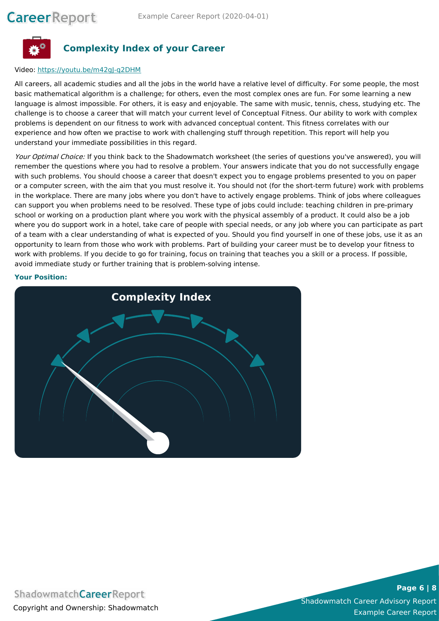

### **Complexity Index of your Career**

#### Video: <https://youtu.be/m42gJ-q2DHM>

All careers, all academic studies and all the jobs in the world have a relative level of difficulty. For some people, the most basic mathematical algorithm is a challenge; for others, even the most complex ones are fun. For some learning a new language is almost impossible. For others, it is easy and enjoyable. The same with music, tennis, chess, studying etc. The challenge is to choose a career that will match your current level of Conceptual Fitness. Our ability to work with complex problems is dependent on our fitness to work with advanced conceptual content. This fitness correlates with our experience and how often we practise to work with challenging stuff through repetition. This report will help you understand your immediate possibilities in this regard.

Your Optimal Choice: If you think back to the Shadowmatch worksheet (the series of questions you've answered), you will remember the questions where you had to resolve a problem. Your answers indicate that you do not successfully engage with such problems. You should choose a career that doesn't expect you to engage problems presented to you on paper or a computer screen, with the aim that you must resolve it. You should not (for the short-term future) work with problems in the workplace. There are many jobs where you don't have to actively engage problems. Think of jobs where colleagues can support you when problems need to be resolved. These type of jobs could include: teaching children in pre-primary school or working on a production plant where you work with the physical assembly of a product. It could also be a job where you do support work in a hotel, take care of people with special needs, or any job where you can participate as part of a team with a clear understanding of what is expected of you. Should you find yourself in one of these jobs, use it as an opportunity to learn from those who work with problems. Part of building your career must be to develop your fitness to work with problems. If you decide to go for training, focus on training that teaches you a skill or a process. If possible, avoid immediate study or further training that is problem-solving intense.

#### **Your Position:**



# **ShadowmatchCareerReport** Copyright and Ownership: Shadowmatch

**Page 6 | 8**

Shadowmatch Career Advisory Report Example Career Report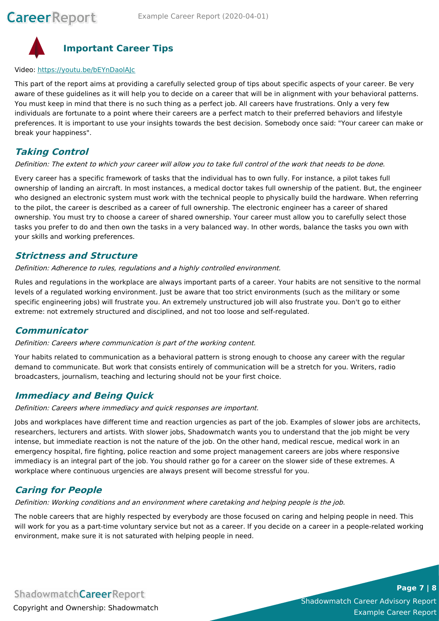

# **Important Career Tips**

#### Video: <https://youtu.be/bEYnDaolAJc>

This part of the report aims at providing a carefully selected group of tips about specific aspects of your career. Be very aware of these guidelines as it will help you to decide on a career that will be in alignment with your behavioral patterns. You must keep in mind that there is no such thing as a perfect job. All careers have frustrations. Only a very few individuals are fortunate to a point where their careers are a perfect match to their preferred behaviors and lifestyle preferences. It is important to use your insights towards the best decision. Somebody once said: "Your career can make or break your happiness".

### **Taking Control**

#### Definition: The extent to which your career will allow you to take full control of the work that needs to be done.

Every career has a specific framework of tasks that the individual has to own fully. For instance, a pilot takes full ownership of landing an aircraft. In most instances, a medical doctor takes full ownership of the patient. But, the engineer who designed an electronic system must work with the technical people to physically build the hardware. When referring to the pilot, the career is described as a career of full ownership. The electronic engineer has a career of shared ownership. You must try to choose a career of shared ownership. Your career must allow you to carefully select those tasks you prefer to do and then own the tasks in a very balanced way. In other words, balance the tasks you own with your skills and working preferences.

### **Strictness and Structure**

Definition: Adherence to rules, regulations and <sup>a</sup> highly controlled environment.

Rules and regulations in the workplace are always important parts of a career. Your habits are not sensitive to the normal levels of a regulated working environment. Just be aware that too strict environments (such as the military or some specific engineering jobs) will frustrate you. An extremely unstructured job will also frustrate you. Don't go to either extreme: not extremely structured and disciplined, and not too loose and self-regulated.

### **Communicator**

#### Definition: Careers where communication is part of the working content.

Your habits related to communication as a behavioral pattern is strong enough to choose any career with the regular demand to communicate. But work that consists entirely of communication will be a stretch for you. Writers, radio broadcasters, journalism, teaching and lecturing should not be your first choice.

### **Immediacy and Being Quick**

Definition: Careers where immediacy and quick responses are important.

Jobs and workplaces have different time and reaction urgencies as part of the job. Examples of slower jobs are architects, researchers, lecturers and artists. With slower jobs, Shadowmatch wants you to understand that the job might be very intense, but immediate reaction is not the nature of the job. On the other hand, medical rescue, medical work in an emergency hospital, fire fighting, police reaction and some project management careers are jobs where responsive immediacy is an integral part of the job. You should rather go for a career on the slower side of these extremes. A workplace where continuous urgencies are always present will become stressful for you.

### **Caring for People**

Definition: Working conditions and an environment where caretaking and helping people is the job.

The noble careers that are highly respected by everybody are those focused on caring and helping people in need. This will work for you as a part-time voluntary service but not as a career. If you decide on a career in a people-related working environment, make sure it is not saturated with helping people in need.

**ShadowmatchCareerReport** Copyright and Ownership: Shadowmatch

Shadowmatch Career Advisory Report Example Career Report

**Page 7 | 8**